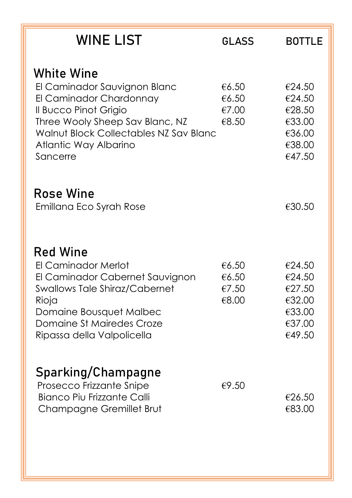| <b>WINE LIST</b>                                                                                                                                                                                                        | <b>GLASS</b>                     | <b>BOTTLE</b>                                                      |
|-------------------------------------------------------------------------------------------------------------------------------------------------------------------------------------------------------------------------|----------------------------------|--------------------------------------------------------------------|
| <b>White Wine</b><br>El Caminador Sauvignon Blanc<br>El Caminador Chardonnay<br>Il Bucco Pinot Grigio<br>Three Wooly Sheep Sav Blanc, NZ<br>Walnut Block Collectables NZ Sav Blanc<br>Atlantic Way Albarino<br>Sancerre | €6.50<br>€6.50<br>€7.00<br>€8.50 | €24.50<br>€24.50<br>€28.50<br>€33.00<br>€36.00<br>€38.00<br>€47.50 |
| <b>Rose Wine</b><br>Emillana Eco Syrah Rose                                                                                                                                                                             |                                  | €30.50                                                             |
| <b>Red Wine</b><br>El Caminador Merlot<br>El Caminador Cabernet Sauvignon<br><b>Swallows Tale Shiraz/Cabernet</b><br>Rioja<br>Domaine Bousquet Malbec<br>Domaine St Mairedes Croze<br>Ripassa della Valpolicella        | €6.50<br>€6.50<br>€7.50<br>€8.00 | €24.50<br>€24.50<br>€27.50<br>€32.00<br>€33.00<br>€37.00<br>€49.50 |
| Sparking/Champagne<br>Prosecco Frizzante Snipe<br><b>Bianco Piu Frizzante Calli</b><br>Champagne Gremillet Brut                                                                                                         | €9.50                            | €26.50<br>€83.00                                                   |